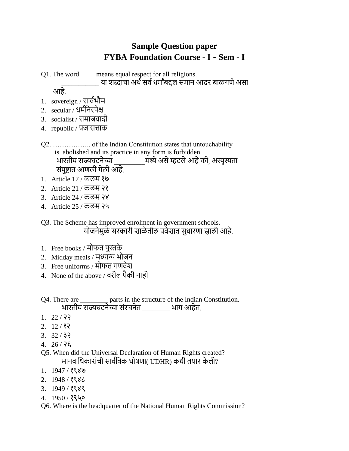## **Sample Question paper FYBA Foundation Course - I - Sem - I**

Q1. The word \_\_\_\_ means equal respect for all religions. \_\_\_\_ या शब्दाचा अर्थ सर्व धर्मांबद्दल समान आदर बाळगणे असा

आहे.

- 1. sovereign / सार्थभौर्
- 2. secular / धर्थननरपेक्ष
- 3. socialist / समाजवादी
- 4. republic / प्रजासत्ताक
- Q2. …………….. of the Indian Constitution states that untouchability is abolished and its practice in any form is forbidden. भारतीय राज्यघटनेच्या \_\_\_\_\_\_\_\_\_र्ध्येअसेम्हटलेआहेकी, अस्पृस्यता संपुष्टात आणली गेली आहे.
- 1. Article 17 / कलम १७
- 2. Article 21 / कलर् २१
- 3. Article 24 / कलम २४
- 4. Article 25 / कलर् २५
- Q3. The Scheme has improved enrolment in government schools. योजनेमुळे सरकारी शाळेतील प्रवेशात सुधारणा झाली आहे.
- 1. Free books / र्ोफत पुस्तके
- 2. Midday meals / र्ध्यान्य भोजन
- 3. Free uniforms / र्ोफत गणर्ेश
- 4. None of the above / र्रील पैकी नाही
- Q4. There are \_\_\_\_\_\_\_\_ parts in the structure of the Indian Constitution. भारतीय राज्यघटनेच्या संरचनेत \_\_\_\_\_\_\_\_ भाग आहेत.
- $1. \quad 22 / 33$
- $2. \quad 12 / 8$
- 3. 32 / ३२
- 4. 26 / २६
- Q5. When did the Universal Declaration of Human Rights created? मानवाधिकारांची सार्वत्रिक घोषणा( UDHR) कधी तयार केली?
- 1. 1947 / १९४७
- 2. 1948 / १९४८
- 3. 1949 / १९४९
- 4. 1950 / १९५०
- Q6. Where is the headquarter of the National Human Rights Commission?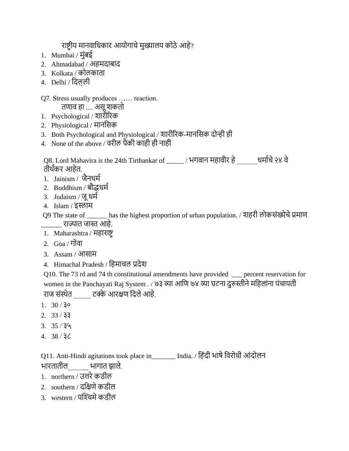राष्ट्रीय मानवाधिकार आयोगाचे मुख्यालय कोठे आहे?

- 1. Mumbai / र्ुंबई
- 2. Ahmadabad / अहर्दाबाद
- 3. Kolkata / कोलकाता
- 4. Delhi / नदल् ली

## Q7. Stress usually produces …… reaction.

तणार् हा .... असूशकतो

- 1. Psychological / शारीररक
- 2. Physiological / र्ाननसक
- 3. Both Psychological and Physiological / शारीररक-र्ाननसक दोन्ही ही
- 4. None of the above / र्रील पैकी काही ही नाही

Q8. Lord Mahavira is the 24th Tirthankar of \_\_\_\_\_ / भगवान महावीर हे $\qquad \qquad$ धर्माचे २४ वे तीर्ांकर आहेत.

- 1. Jainism / जैनधर्थ
- 2. Buddhism / बौद्धधर्थ
- 3. Judaism / जूधर्थ
- 4. Islam / इस्लार्
- Q9 The state of \_\_\_\_\_\_ has the highest proportion of urban population. / शहरी लोकसंख्येचे प्रमाण \_\_\_\_\_\_ राज्यात जास्त आहे.
- 1. Maharashtra / महाराष्ट्र
- 2. Goa / गोर्ा
- 3. Assam / आसार्
- 4. Himachal Pradesh / नहर्ाचल प्रदेश

Q10. The 73 rd and 74 th constitutional amendments have provided \_\_\_ percent reservation for women in the Panchayati Raj System . / ७३ व्या आणि ७४ व्या घटना दुरुस्तीने महिलांना पंचायती राज संस्र्ेत \_\_\_\_\_ टक्के आरक्षण नदलेआहे.

- 1.  $30 / 30$
- 2. 33 / ३३
- $3. \frac{35}{34}$
- 4. 38 / ३८

Q11. Anti-Hindi agitations took place in\_\_\_\_\_\_\_ India. / नहंदी भाषेनर्रोधी आंदोलन भारतातील\_\_\_\_\_\_ भागात झाले.

- 1. northern / उत्तरे कडील
- 2. southern / दनक्षणेकडील
- 3. western / पश्चिमे कडील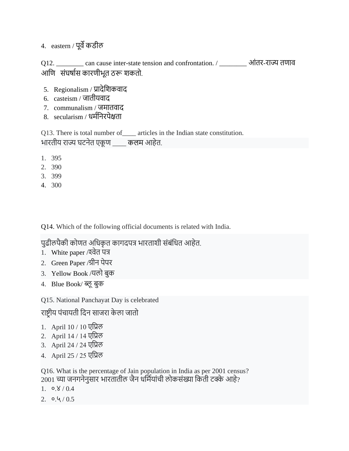4. eastern / पूर्वे कडील

Q12. \_\_\_\_\_\_\_\_ can cause inter-state tension and confrontation. / \_\_\_\_\_\_\_\_ आंतर-राज्य तणार् आनण संघषाथस कारणीभूत ठरू शकतो.

- 5. Regionalism / प्रादेशिकवाद
- 6. casteism / जातीयर्ाद
- 7. communalism / जर्ातर्ाद
- 8. secularism / धर्थननरपेक्षता

Q13. There is total number of \_\_\_\_\_ articles in the Indian state constitution. भारतीय राज्य घटनेत एकूण कलम आहेत.

- 1. 395
- 2. 390
- 3. 399
- 4. 300

Q14. Which of the following official documents is related with India.

पुढीलपैकी कोणत अधिकृत कागदपत्र भारताशी संबंधित आहेत.

- 1. White paper / श्वेत पत्र
- 2. Green Paper /ग्रीन पेपर
- 3. Yellow Book /यलो बुक
- 4. Blue Book/ ब्लूबुक

Q15. National Panchayat Day is celebrated

राष्ट्रीय पंचायती दिन साजरा केला जातो

- 1. April 10 / 10 एप्रिल
- 2. April 14 / 14 एप्रिल
- 3. April 24 / 24 एप्रिल
- 4. April 25 / 25 एनप्रल

Q16. What is the percentage of Jain population in India as per 2001 census?  $2001$  च्या जनगनेनुसार भारतातील जैन धर्मियांची लोकसंख्या किती टक्के आहे?

- 1.  $0.8 / 0.4$
- $2.0.4/0.5$